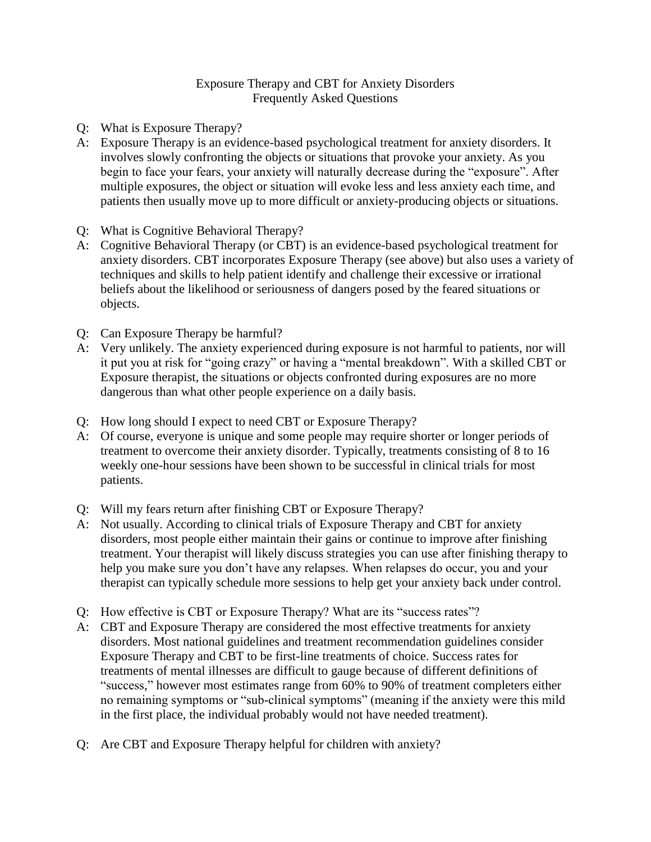## Exposure Therapy and CBT for Anxiety Disorders Frequently Asked Questions

- Q: What is Exposure Therapy?
- A: Exposure Therapy is an evidence-based psychological treatment for anxiety disorders. It involves slowly confronting the objects or situations that provoke your anxiety. As you begin to face your fears, your anxiety will naturally decrease during the "exposure". After multiple exposures, the object or situation will evoke less and less anxiety each time, and patients then usually move up to more difficult or anxiety-producing objects or situations.
- Q: What is Cognitive Behavioral Therapy?
- A: Cognitive Behavioral Therapy (or CBT) is an evidence-based psychological treatment for anxiety disorders. CBT incorporates Exposure Therapy (see above) but also uses a variety of techniques and skills to help patient identify and challenge their excessive or irrational beliefs about the likelihood or seriousness of dangers posed by the feared situations or objects.
- Q: Can Exposure Therapy be harmful?
- A: Very unlikely. The anxiety experienced during exposure is not harmful to patients, nor will it put you at risk for "going crazy" or having a "mental breakdown". With a skilled CBT or Exposure therapist, the situations or objects confronted during exposures are no more dangerous than what other people experience on a daily basis.
- Q: How long should I expect to need CBT or Exposure Therapy?
- A: Of course, everyone is unique and some people may require shorter or longer periods of treatment to overcome their anxiety disorder. Typically, treatments consisting of 8 to 16 weekly one-hour sessions have been shown to be successful in clinical trials for most patients.
- Q: Will my fears return after finishing CBT or Exposure Therapy?
- A: Not usually. According to clinical trials of Exposure Therapy and CBT for anxiety disorders, most people either maintain their gains or continue to improve after finishing treatment. Your therapist will likely discuss strategies you can use after finishing therapy to help you make sure you don't have any relapses. When relapses do occur, you and your therapist can typically schedule more sessions to help get your anxiety back under control.
- Q: How effective is CBT or Exposure Therapy? What are its "success rates"?
- A: CBT and Exposure Therapy are considered the most effective treatments for anxiety disorders. Most national guidelines and treatment recommendation guidelines consider Exposure Therapy and CBT to be first-line treatments of choice. Success rates for treatments of mental illnesses are difficult to gauge because of different definitions of "success," however most estimates range from 60% to 90% of treatment completers either no remaining symptoms or "sub-clinical symptoms" (meaning if the anxiety were this mild in the first place, the individual probably would not have needed treatment).
- Q: Are CBT and Exposure Therapy helpful for children with anxiety?